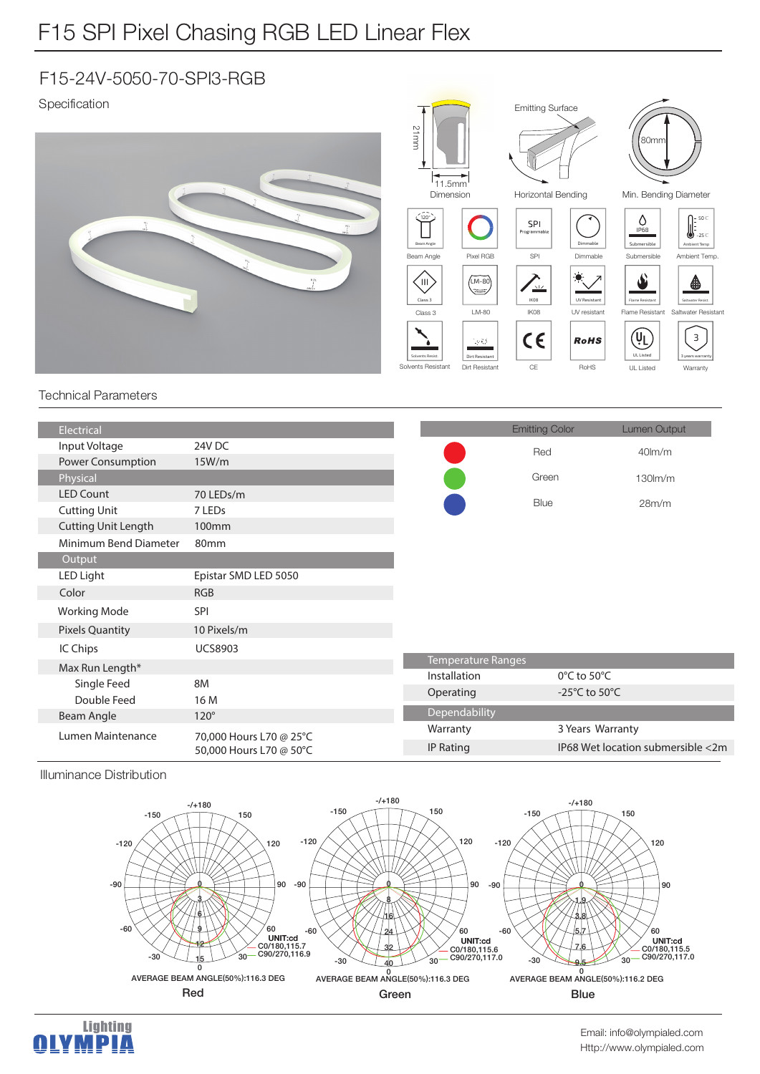## F15-24V-5050-70-SPI3-RGB

Specification



## Technical Parameters

| Electrical                 |                                                    |                           | <b>Emitting Color</b> | Lumen Output                        |
|----------------------------|----------------------------------------------------|---------------------------|-----------------------|-------------------------------------|
| Input Voltage              | 24V DC                                             |                           | Red                   | $40lm$ /m                           |
| Power Consumption          | 15W/m                                              |                           |                       |                                     |
| Physical                   |                                                    |                           | Green                 | 130lm/m                             |
| <b>LED Count</b>           | 70 LEDs/m                                          |                           | Blue                  |                                     |
| <b>Cutting Unit</b>        | 7 LEDs                                             |                           |                       | 28m/m                               |
| <b>Cutting Unit Length</b> | 100 <sub>mm</sub>                                  |                           |                       |                                     |
| Minimum Bend Diameter      | 80 <sub>mm</sub>                                   |                           |                       |                                     |
| Output                     |                                                    |                           |                       |                                     |
| LED Light                  | Epistar SMD LED 5050                               |                           |                       |                                     |
| Color                      | <b>RGB</b>                                         |                           |                       |                                     |
| <b>Working Mode</b>        | <b>SPI</b>                                         |                           |                       |                                     |
| <b>Pixels Quantity</b>     | 10 Pixels/m                                        |                           |                       |                                     |
| IC Chips                   | <b>UCS8903</b>                                     |                           |                       |                                     |
| Max Run Length*            |                                                    | <b>Temperature Ranges</b> |                       |                                     |
| Single Feed                | <b>8M</b>                                          | Installation              |                       | $0^{\circ}$ C to 50 $^{\circ}$ C    |
| Double Feed                | 16 M                                               | Operating                 |                       | -25 $^{\circ}$ C to 50 $^{\circ}$ C |
| Beam Angle                 | $120^\circ$                                        | Dependability             |                       |                                     |
| Lumen Maintenance          | 70,000 Hours L70 @ 25°C<br>50,000 Hours L70 @ 50°C | Warranty                  |                       | 3 Years Warranty                    |
|                            |                                                    | IP Rating                 |                       | IP68 Wet location submersible <2m   |
|                            |                                                    |                           |                       |                                     |

Illuminance Distribution